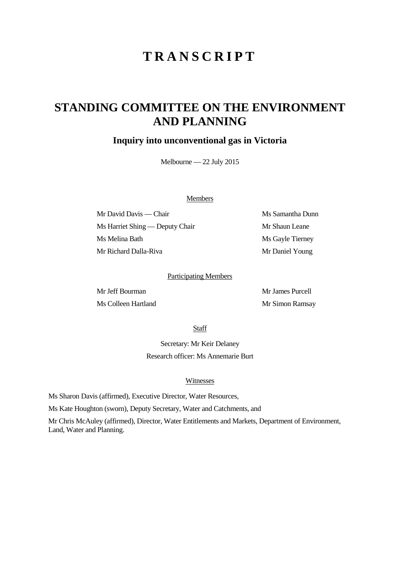# **TRANSCRIPT**

## **STANDING COMMITTEE ON THE ENVIRONMENT AND PLANNING**

### **Inquiry into unconventional gas in Victoria**

Melbourne — 22 July 2015

#### Members

Mr David Davis — Chair Ms Samantha Dunn Ms Harriet Shing — Deputy Chair Mr Shaun Leane Ms Melina Bath Ms Gayle Tierney Mr Richard Dalla-Riva Mr Daniel Young

#### Participating Members

Mr Jeff Bourman Mr James Purcell Ms Colleen Hartland Mr Simon Ramsay

Staff

Secretary: Mr Keir Delaney Research officer: Ms Annemarie Burt

#### Witnesses

Ms Sharon Davis (affirmed), Executive Director, Water Resources,

Ms Kate Houghton (sworn), Deputy Secretary, Water and Catchments, and

Mr Chris McAuley (affirmed), Director, Water Entitlements and Markets, Department of Environment, Land, Water and Planning.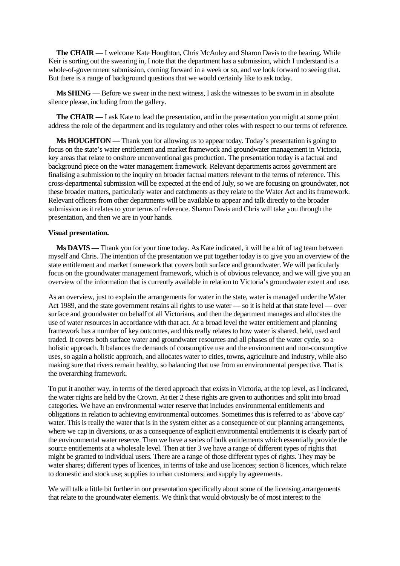**The CHAIR** — I welcome Kate Houghton, Chris McAuley and Sharon Davis to the hearing. While Keir is sorting out the swearing in, I note that the department has a submission, which I understand is a whole-of-government submission, coming forward in a week or so, and we look forward to seeing that. But there is a range of background questions that we would certainly like to ask today.

**Ms SHING** — Before we swear in the next witness, I ask the witnesses to be sworn in in absolute silence please, including from the gallery.

**The CHAIR** — I ask Kate to lead the presentation, and in the presentation you might at some point address the role of the department and its regulatory and other roles with respect to our terms of reference.

**Ms HOUGHTON** — Thank you for allowing us to appear today. Today's presentation is going to focus on the state's water entitlement and market framework and groundwater management in Victoria, key areas that relate to onshore unconventional gas production. The presentation today is a factual and background piece on the water management framework. Relevant departments across government are finalising a submission to the inquiry on broader factual matters relevant to the terms of reference. This cross-departmental submission will be expected at the end of July, so we are focusing on groundwater, not these broader matters, particularly water and catchments as they relate to the Water Act and its framework. Relevant officers from other departments will be available to appear and talk directly to the broader submission as it relates to your terms of reference. Sharon Davis and Chris will take you through the presentation, and then we are in your hands.

#### **Visual presentation.**

**Ms DAVIS** — Thank you for your time today. As Kate indicated, it will be a bit of tag team between myself and Chris. The intention of the presentation we put together today is to give you an overview of the state entitlement and market framework that covers both surface and groundwater. We will particularly focus on the groundwater management framework, which is of obvious relevance, and we will give you an overview of the information that is currently available in relation to Victoria's groundwater extent and use.

As an overview, just to explain the arrangements for water in the state, water is managed under the Water Act 1989, and the state government retains all rights to use water — so it is held at that state level — over surface and groundwater on behalf of all Victorians, and then the department manages and allocates the use of water resources in accordance with that act. At a broad level the water entitlement and planning framework has a number of key outcomes, and this really relates to how water is shared, held, used and traded. It covers both surface water and groundwater resources and all phases of the water cycle, so a holistic approach. It balances the demands of consumptive use and the environment and non-consumptive uses, so again a holistic approach, and allocates water to cities, towns, agriculture and industry, while also making sure that rivers remain healthy, so balancing that use from an environmental perspective. That is the overarching framework.

To put it another way, in terms of the tiered approach that exists in Victoria, at the top level, as I indicated, the water rights are held by the Crown. At tier 2 these rights are given to authorities and split into broad categories. We have an environmental water reserve that includes environmental entitlements and obligations in relation to achieving environmental outcomes. Sometimes this is referred to as 'above cap' water. This is really the water that is in the system either as a consequence of our planning arrangements, where we cap in diversions, or as a consequence of explicit environmental entitlements it is clearly part of the environmental water reserve. Then we have a series of bulk entitlements which essentially provide the source entitlements at a wholesale level. Then at tier 3 we have a range of different types of rights that might be granted to individual users. There are a range of those different types of rights. They may be water shares; different types of licences, in terms of take and use licences; section 8 licences, which relate to domestic and stock use; supplies to urban customers; and supply by agreements.

We will talk a little bit further in our presentation specifically about some of the licensing arrangements that relate to the groundwater elements. We think that would obviously be of most interest to the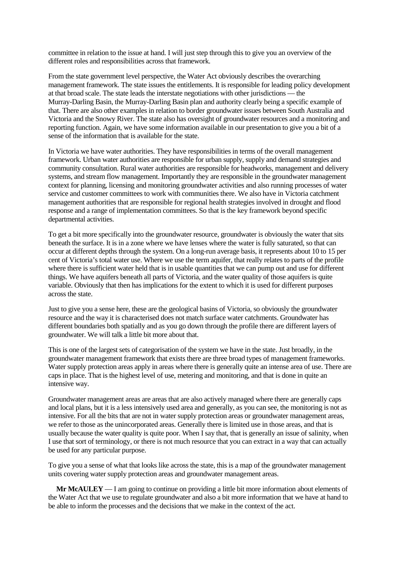committee in relation to the issue at hand. I will just step through this to give you an overview of the different roles and responsibilities across that framework.

From the state government level perspective, the Water Act obviously describes the overarching management framework. The state issues the entitlements. It is responsible for leading policy development at that broad scale. The state leads the interstate negotiations with other jurisdictions — the Murray-Darling Basin, the Murray-Darling Basin plan and authority clearly being a specific example of that. There are also other examples in relation to border groundwater issues between South Australia and Victoria and the Snowy River. The state also has oversight of groundwater resources and a monitoring and reporting function. Again, we have some information available in our presentation to give you a bit of a sense of the information that is available for the state.

In Victoria we have water authorities. They have responsibilities in terms of the overall management framework. Urban water authorities are responsible for urban supply, supply and demand strategies and community consultation. Rural water authorities are responsible for headworks, management and delivery systems, and stream flow management. Importantly they are responsible in the groundwater management context for planning, licensing and monitoring groundwater activities and also running processes of water service and customer committees to work with communities there. We also have in Victoria catchment management authorities that are responsible for regional health strategies involved in drought and flood response and a range of implementation committees. So that is the key framework beyond specific departmental activities.

To get a bit more specifically into the groundwater resource, groundwater is obviously the water that sits beneath the surface. It is in a zone where we have lenses where the water is fully saturated, so that can occur at different depths through the system. On a long-run average basis, it represents about 10 to 15 per cent of Victoria's total water use. Where we use the term aquifer, that really relates to parts of the profile where there is sufficient water held that is in usable quantities that we can pump out and use for different things. We have aquifers beneath all parts of Victoria, and the water quality of those aquifers is quite variable. Obviously that then has implications for the extent to which it is used for different purposes across the state.

Just to give you a sense here, these are the geological basins of Victoria, so obviously the groundwater resource and the way it is characterised does not match surface water catchments. Groundwater has different boundaries both spatially and as you go down through the profile there are different layers of groundwater. We will talk a little bit more about that.

This is one of the largest sets of categorisation of the system we have in the state. Just broadly, in the groundwater management framework that exists there are three broad types of management frameworks. Water supply protection areas apply in areas where there is generally quite an intense area of use. There are caps in place. That is the highest level of use, metering and monitoring, and that is done in quite an intensive way.

Groundwater management areas are areas that are also actively managed where there are generally caps and local plans, but it is a less intensively used area and generally, as you can see, the monitoring is not as intensive. For all the bits that are not in water supply protection areas or groundwater management areas, we refer to those as the unincorporated areas. Generally there is limited use in those areas, and that is usually because the water quality is quite poor. When I say that, that is generally an issue of salinity, when I use that sort of terminology, or there is not much resource that you can extract in a way that can actually be used for any particular purpose.

To give you a sense of what that looks like across the state, this is a map of the groundwater management units covering water supply protection areas and groundwater management areas.

**Mr McAULEY** — I am going to continue on providing a little bit more information about elements of the Water Act that we use to regulate groundwater and also a bit more information that we have at hand to be able to inform the processes and the decisions that we make in the context of the act.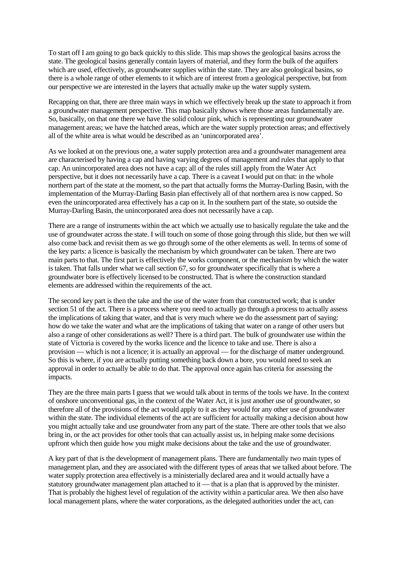To start off I am going to go back quickly to this slide. This map shows the geological basins across the state. The geological basins generally contain layers of material, and they form the bulk of the aquifers which are used, effectively, as groundwater supplies within the state. They are also geological basins, so there is a whole range of other elements to it which are of interest from a geological perspective, but from our perspective we are interested in the layers that actually make up the water supply system.

Recapping on that, there are three main ways in which we effectively break up the state to approach it from a groundwater management perspective. This map basically shows where those areas fundamentally are. So, basically, on that one there we have the solid colour pink, which is representing our groundwater management areas; we have the hatched areas, which are the water supply protection areas; and effectively all of the white area is what would be described as an 'unincorporated area'.

As we looked at on the previous one, a water supply protection area and a groundwater management area are characterised by having a cap and having varying degrees of management and rules that apply to that cap. An unincorporated area does not have a cap; all of the rules still apply from the Water Act perspective, but it does not necessarily have a cap. There is a caveat I would put on that: in the whole northern part of the state at the moment, so the part that actually forms the Murray-Darling Basin, with the implementation of the Murray-Darling Basin plan effectively all of that northern area is now capped. So even the unincorporated area effectively has a cap on it. In the southern part of the state, so outside the Murray-Darling Basin, the unincorporated area does not necessarily have a cap.

There are a range of instruments within the act which we actually use to basically regulate the take and the use of groundwater across the state. I will touch on some of those going through this slide, but then we will also come back and revisit them as we go through some of the other elements as well. In terms of some of the key parts: a licence is basically the mechanism by which groundwater can be taken. There are two main parts to that. The first part is effectively the works component, or the mechanism by which the water is taken. That falls under what we call section 67, so for groundwater specifically that is where a groundwater bore is effectively licensed to be constructed. That is where the construction standard elements are addressed within the requirements of the act.

The second key part is then the take and the use of the water from that constructed work; that is under section 51 of the act. There is a process where you need to actually go through a process to actually assess the implications of taking that water, and that is very much where we do the assessment part of saying: how do we take the water and what are the implications of taking that water on a range of other users but also a range of other considerations as well? There is a third part. The bulk of groundwater use within the state of Victoria is covered by the works licence and the licence to take and use. There is also a provision — which is not a licence; it is actually an approval — for the discharge of matter underground. So this is where, if you are actually putting something back down a bore, you would need to seek an approval in order to actually be able to do that. The approval once again has criteria for assessing the impacts.

They are the three main parts I guess that we would talk about in terms of the tools we have. In the context of onshore unconventional gas, in the context of the Water Act, it is just another use of groundwater, so therefore all of the provisions of the act would apply to it as they would for any other use of groundwater within the state. The individual elements of the act are sufficient for actually making a decision about how you might actually take and use groundwater from any part of the state. There are other tools that we also bring in, or the act provides for other tools that can actually assist us, in helping make some decisions upfront which then guide how you might make decisions about the take and the use of groundwater.

A key part of that is the development of management plans. There are fundamentally two main types of management plan, and they are associated with the different types of areas that we talked about before. The water supply protection area effectively is a ministerially declared area and it would actually have a statutory groundwater management plan attached to it — that is a plan that is approved by the minister. That is probably the highest level of regulation of the activity within a particular area. We then also have local management plans, where the water corporations, as the delegated authorities under the act, can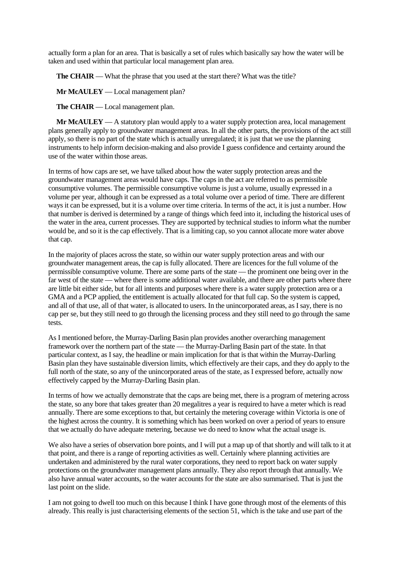actually form a plan for an area. That is basically a set of rules which basically say how the water will be taken and used within that particular local management plan area.

**The CHAIR** — What the phrase that you used at the start there? What was the title?

**Mr McAULEY** — Local management plan?

**The CHAIR** — Local management plan.

**Mr McAULEY** — A statutory plan would apply to a water supply protection area, local management plans generally apply to groundwater management areas. In all the other parts, the provisions of the act still apply, so there is no part of the state which is actually unregulated; it is just that we use the planning instruments to help inform decision-making and also provide I guess confidence and certainty around the use of the water within those areas.

In terms of how caps are set, we have talked about how the water supply protection areas and the groundwater management areas would have caps. The caps in the act are referred to as permissible consumptive volumes. The permissible consumptive volume is just a volume, usually expressed in a volume per year, although it can be expressed as a total volume over a period of time. There are different ways it can be expressed, but it is a volume over time criteria. In terms of the act, it is just a number. How that number is derived is determined by a range of things which feed into it, including the historical uses of the water in the area, current processes. They are supported by technical studies to inform what the number would be, and so it is the cap effectively. That is a limiting cap, so you cannot allocate more water above that cap.

In the majority of places across the state, so within our water supply protection areas and with our groundwater management areas, the cap is fully allocated. There are licences for the full volume of the permissible consumptive volume. There are some parts of the state — the prominent one being over in the far west of the state — where there is some additional water available, and there are other parts where there are little bit either side, but for all intents and purposes where there is a water supply protection area or a GMA and a PCP applied, the entitlement is actually allocated for that full cap. So the system is capped, and all of that use, all of that water, is allocated to users. In the unincorporated areas, as I say, there is no cap per se, but they still need to go through the licensing process and they still need to go through the same tests.

As I mentioned before, the Murray-Darling Basin plan provides another overarching management framework over the northern part of the state — the Murray-Darling Basin part of the state. In that particular context, as I say, the headline or main implication for that is that within the Murray-Darling Basin plan they have sustainable diversion limits, which effectively are their caps, and they do apply to the full north of the state, so any of the unincorporated areas of the state, as I expressed before, actually now effectively capped by the Murray-Darling Basin plan.

In terms of how we actually demonstrate that the caps are being met, there is a program of metering across the state, so any bore that takes greater than 20 megalitres a year is required to have a meter which is read annually. There are some exceptions to that, but certainly the metering coverage within Victoria is one of the highest across the country. It is something which has been worked on over a period of years to ensure that we actually do have adequate metering, because we do need to know what the actual usage is.

We also have a series of observation bore points, and I will put a map up of that shortly and will talk to it at that point, and there is a range of reporting activities as well. Certainly where planning activities are undertaken and administered by the rural water corporations, they need to report back on water supply protections on the groundwater management plans annually. They also report through that annually. We also have annual water accounts, so the water accounts for the state are also summarised. That is just the last point on the slide.

I am not going to dwell too much on this because I think I have gone through most of the elements of this already. This really is just characterising elements of the section 51, which is the take and use part of the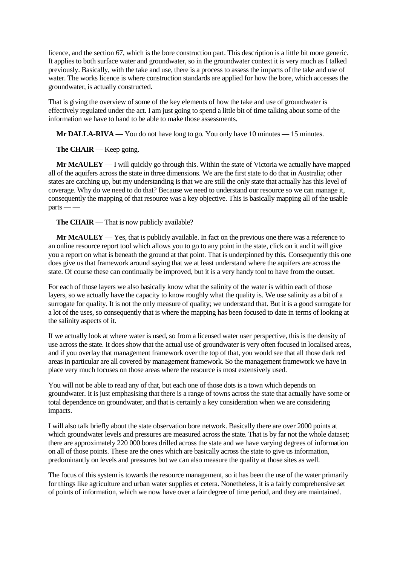licence, and the section 67, which is the bore construction part. This description is a little bit more generic. It applies to both surface water and groundwater, so in the groundwater context it is very much as I talked previously. Basically, with the take and use, there is a process to assess the impacts of the take and use of water. The works licence is where construction standards are applied for how the bore, which accesses the groundwater, is actually constructed.

That is giving the overview of some of the key elements of how the take and use of groundwater is effectively regulated under the act. I am just going to spend a little bit of time talking about some of the information we have to hand to be able to make those assessments.

**Mr DALLA-RIVA** — You do not have long to go. You only have 10 minutes — 15 minutes.

**The CHAIR** — Keep going.

**Mr McAULEY** — I will quickly go through this. Within the state of Victoria we actually have mapped all of the aquifers across the state in three dimensions. We are the first state to do that in Australia; other states are catching up, but my understanding is that we are still the only state that actually has this level of coverage. Why do we need to do that? Because we need to understand our resource so we can manage it, consequently the mapping of that resource was a key objective. This is basically mapping all of the usable  $parts$ ——

**The CHAIR** — That is now publicly available?

**Mr McAULEY** — Yes, that is publicly available. In fact on the previous one there was a reference to an online resource report tool which allows you to go to any point in the state, click on it and it will give you a report on what is beneath the ground at that point. That is underpinned by this. Consequently this one does give us that framework around saying that we at least understand where the aquifers are across the state. Of course these can continually be improved, but it is a very handy tool to have from the outset.

For each of those layers we also basically know what the salinity of the water is within each of those layers, so we actually have the capacity to know roughly what the quality is. We use salinity as a bit of a surrogate for quality. It is not the only measure of quality; we understand that. But it is a good surrogate for a lot of the uses, so consequently that is where the mapping has been focused to date in terms of looking at the salinity aspects of it.

If we actually look at where water is used, so from a licensed water user perspective, this is the density of use across the state. It does show that the actual use of groundwater is very often focused in localised areas, and if you overlay that management framework over the top of that, you would see that all those dark red areas in particular are all covered by management framework. So the management framework we have in place very much focuses on those areas where the resource is most extensively used.

You will not be able to read any of that, but each one of those dots is a town which depends on groundwater. It is just emphasising that there is a range of towns across the state that actually have some or total dependence on groundwater, and that is certainly a key consideration when we are considering impacts.

I will also talk briefly about the state observation bore network. Basically there are over 2000 points at which groundwater levels and pressures are measured across the state. That is by far not the whole dataset; there are approximately 220 000 bores drilled across the state and we have varying degrees of information on all of those points. These are the ones which are basically across the state to give us information, predominantly on levels and pressures but we can also measure the quality at those sites as well.

The focus of this system is towards the resource management, so it has been the use of the water primarily for things like agriculture and urban water supplies et cetera. Nonetheless, it is a fairly comprehensive set of points of information, which we now have over a fair degree of time period, and they are maintained.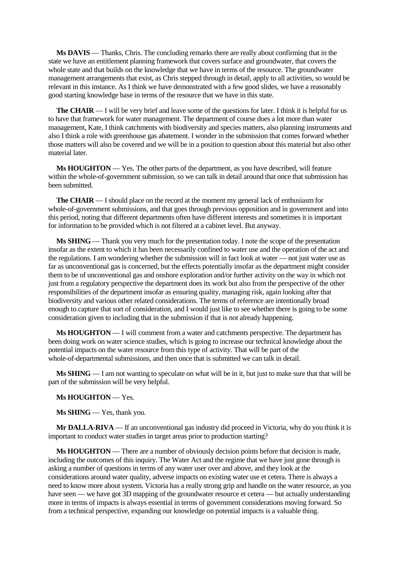**Ms DAVIS** — Thanks, Chris. The concluding remarks there are really about confirming that in the state we have an entitlement planning framework that covers surface and groundwater, that covers the whole state and that builds on the knowledge that we have in terms of the resource. The groundwater management arrangements that exist, as Chris stepped through in detail, apply to all activities, so would be relevant in this instance. As I think we have demonstrated with a few good slides, we have a reasonably good starting knowledge base in terms of the resource that we have in this state.

**The CHAIR** — I will be very brief and leave some of the questions for later. I think it is helpful for us to have that framework for water management. The department of course does a lot more than water management, Kate, I think catchments with biodiversity and species matters, also planning instruments and also I think a role with greenhouse gas abatement. I wonder in the submission that comes forward whether those matters will also be covered and we will be in a position to question about this material but also other material later.

**Ms HOUGHTON** — Yes. The other parts of the department, as you have described, will feature within the whole-of-government submission, so we can talk in detail around that once that submission has been submitted.

**The CHAIR** — I should place on the record at the moment my general lack of enthusiasm for whole-of-government submissions, and that goes through previous opposition and in government and into this period, noting that different departments often have different interests and sometimes it is important for information to be provided which is not filtered at a cabinet level. But anyway.

**Ms SHING** — Thank you very much for the presentation today. I note the scope of the presentation insofar as the extent to which it has been necessarily confined to water use and the operation of the act and the regulations. I am wondering whether the submission will in fact look at water — not just water use as far as unconventional gas is concerned, but the effects potentially insofar as the department might consider them to be of unconventional gas and onshore exploration and/or further activity on the way in which not just from a regulatory perspective the department does its work but also from the perspective of the other responsibilities of the department insofar as ensuring quality, managing risk, again looking after that biodiversity and various other related considerations. The terms of reference are intentionally broad enough to capture that sort of consideration, and I would just like to see whether there is going to be some consideration given to including that in the submission if that is not already happening.

**Ms HOUGHTON** — I will comment from a water and catchments perspective. The department has been doing work on water science studies, which is going to increase our technical knowledge about the potential impacts on the water resource from this type of activity. That will be part of the whole-of-departmental submissions, and then once that is submitted we can talk in detail.

**Ms SHING** — I am not wanting to speculate on what will be in it, but just to make sure that that will be part of the submission will be very helpful.

#### **Ms HOUGHTON** — Yes.

**Ms SHING** — Yes, thank you.

**Mr DALLA-RIVA** — If an unconventional gas industry did proceed in Victoria, why do you think it is important to conduct water studies in target areas prior to production starting?

**Ms HOUGHTON** — There are a number of obviously decision points before that decision is made, including the outcomes of this inquiry. The Water Act and the regime that we have just gone through is asking a number of questions in terms of any water user over and above, and they look at the considerations around water quality, adverse impacts on existing water use et cetera. There is always a need to know more about system. Victoria has a really strong grip and handle on the water resource, as you have seen — we have got 3D mapping of the groundwater resource et cetera — but actually understanding more in terms of impacts is always essential in terms of government considerations moving forward. So from a technical perspective, expanding our knowledge on potential impacts is a valuable thing.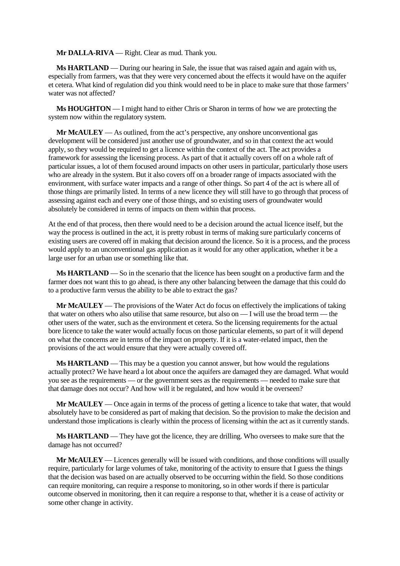**Mr DALLA-RIVA** — Right. Clear as mud. Thank you.

**Ms HARTLAND** — During our hearing in Sale, the issue that was raised again and again with us, especially from farmers, was that they were very concerned about the effects it would have on the aquifer et cetera. What kind of regulation did you think would need to be in place to make sure that those farmers' water was not affected?

**Ms HOUGHTON** — I might hand to either Chris or Sharon in terms of how we are protecting the system now within the regulatory system.

**Mr McAULEY** — As outlined, from the act's perspective, any onshore unconventional gas development will be considered just another use of groundwater, and so in that context the act would apply, so they would be required to get a licence within the context of the act. The act provides a framework for assessing the licensing process. As part of that it actually covers off on a whole raft of particular issues, a lot of them focused around impacts on other users in particular, particularly those users who are already in the system. But it also covers off on a broader range of impacts associated with the environment, with surface water impacts and a range of other things. So part 4 of the act is where all of those things are primarily listed. In terms of a new licence they will still have to go through that process of assessing against each and every one of those things, and so existing users of groundwater would absolutely be considered in terms of impacts on them within that process.

At the end of that process, then there would need to be a decision around the actual licence itself, but the way the process is outlined in the act, it is pretty robust in terms of making sure particularly concerns of existing users are covered off in making that decision around the licence. So it is a process, and the process would apply to an unconventional gas application as it would for any other application, whether it be a large user for an urban use or something like that.

**Ms HARTLAND** — So in the scenario that the licence has been sought on a productive farm and the farmer does not want this to go ahead, is there any other balancing between the damage that this could do to a productive farm versus the ability to be able to extract the gas?

**Mr McAULEY** — The provisions of the Water Act do focus on effectively the implications of taking that water on others who also utilise that same resource, but also on — I will use the broad term — the other users of the water, such as the environment et cetera. So the licensing requirements for the actual bore licence to take the water would actually focus on those particular elements, so part of it will depend on what the concerns are in terms of the impact on property. If it is a water-related impact, then the provisions of the act would ensure that they were actually covered off.

**Ms HARTLAND** — This may be a question you cannot answer, but how would the regulations actually protect? We have heard a lot about once the aquifers are damaged they are damaged. What would you see as the requirements — or the government sees as the requirements — needed to make sure that that damage does not occur? And how will it be regulated, and how would it be overseen?

**Mr McAULEY** — Once again in terms of the process of getting a licence to take that water, that would absolutely have to be considered as part of making that decision. So the provision to make the decision and understand those implications is clearly within the process of licensing within the act as it currently stands.

**Ms HARTLAND** — They have got the licence, they are drilling. Who oversees to make sure that the damage has not occurred?

**Mr McAULEY** — Licences generally will be issued with conditions, and those conditions will usually require, particularly for large volumes of take, monitoring of the activity to ensure that I guess the things that the decision was based on are actually observed to be occurring within the field. So those conditions can require monitoring, can require a response to monitoring, so in other words if there is particular outcome observed in monitoring, then it can require a response to that, whether it is a cease of activity or some other change in activity.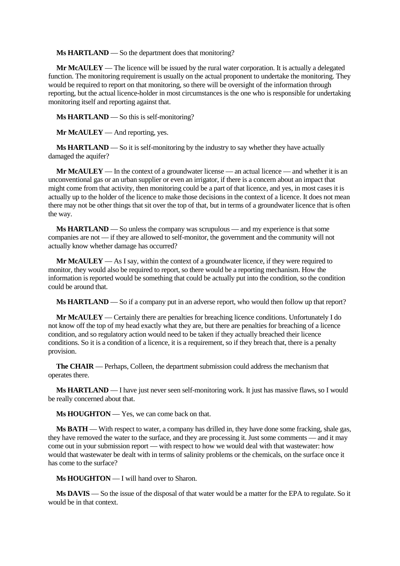**Ms HARTLAND** — So the department does that monitoring?

**Mr McAULEY** — The licence will be issued by the rural water corporation. It is actually a delegated function. The monitoring requirement is usually on the actual proponent to undertake the monitoring. They would be required to report on that monitoring, so there will be oversight of the information through reporting, but the actual licence-holder in most circumstances is the one who is responsible for undertaking monitoring itself and reporting against that.

**Ms HARTLAND** — So this is self-monitoring?

**Mr McAULEY** — And reporting, yes.

**Ms HARTLAND** — So it is self-monitoring by the industry to say whether they have actually damaged the aquifer?

**Mr McAULEY** — In the context of a groundwater license — an actual licence — and whether it is an unconventional gas or an urban supplier or even an irrigator, if there is a concern about an impact that might come from that activity, then monitoring could be a part of that licence, and yes, in most cases it is actually up to the holder of the licence to make those decisions in the context of a licence. It does not mean there may not be other things that sit over the top of that, but in terms of a groundwater licence that is often the way.

**Ms HARTLAND** — So unless the company was scrupulous — and my experience is that some companies are not — if they are allowed to self-monitor, the government and the community will not actually know whether damage has occurred?

**Mr McAULEY** — As I say, within the context of a groundwater licence, if they were required to monitor, they would also be required to report, so there would be a reporting mechanism. How the information is reported would be something that could be actually put into the condition, so the condition could be around that.

**Ms HARTLAND** — So if a company put in an adverse report, who would then follow up that report?

**Mr McAULEY** — Certainly there are penalties for breaching licence conditions. Unfortunately I do not know off the top of my head exactly what they are, but there are penalties for breaching of a licence condition, and so regulatory action would need to be taken if they actually breached their licence conditions. So it is a condition of a licence, it is a requirement, so if they breach that, there is a penalty provision.

**The CHAIR** — Perhaps, Colleen, the department submission could address the mechanism that operates there.

**Ms HARTLAND** — I have just never seen self-monitoring work. It just has massive flaws, so I would be really concerned about that.

**Ms HOUGHTON** — Yes, we can come back on that.

**Ms BATH** — With respect to water, a company has drilled in, they have done some fracking, shale gas, they have removed the water to the surface, and they are processing it. Just some comments — and it may come out in your submission report — with respect to how we would deal with that wastewater: how would that wastewater be dealt with in terms of salinity problems or the chemicals, on the surface once it has come to the surface?

**Ms HOUGHTON** — I will hand over to Sharon.

**Ms DAVIS** — So the issue of the disposal of that water would be a matter for the EPA to regulate. So it would be in that context.